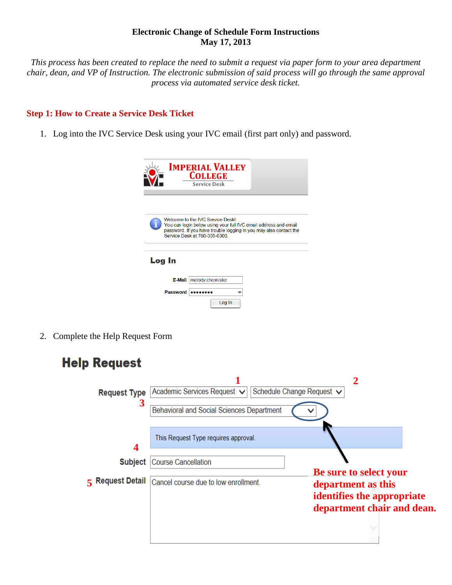### **Electronic Change of Schedule Form Instructions May 17, 2013**

*This process has been created to replace the need to submit a request via paper form to your area department chair, dean, and VP of Instruction. The electronic submission of said process will go through the same approval process via automated service desk ticket.*

## **Step 1: How to Create a Service Desk Ticket**

1. Log into the IVC Service Desk using your IVC email (first part only) and password.

|        | <b>IMPERIAL VALLEY</b><br><b>COLLEGE</b><br><b>Service Desk</b>                                                                                                                                           |
|--------|-----------------------------------------------------------------------------------------------------------------------------------------------------------------------------------------------------------|
|        | Welcome to the IVC Service Deskl<br>You can login below using your full IVC email address and email<br>password. If you have trouble logging in you may also contact the<br>Service Desk at 760-355-6300. |
| Log In |                                                                                                                                                                                                           |
|        | E-Mail<br>melody.chronister<br><b>Password</b><br>Log In                                                                                                                                                  |

2. Complete the Help Request Form

| <b>Help Request</b>      |                                                                          |                                                                                                                 |
|--------------------------|--------------------------------------------------------------------------|-----------------------------------------------------------------------------------------------------------------|
| <b>Request Type</b><br>3 | Academic Services Request ↓<br>Behavioral and Social Sciences Department | 2<br>Schedule Change Request V                                                                                  |
| 4<br><b>Subject</b>      | This Request Type requires approval.<br><b>Course Cancellation</b>       |                                                                                                                 |
| 5 Request Detail         | Cancel course due to low enrollment.                                     | <b>Be sure to select your</b><br>department as this<br>identifies the appropriate<br>department chair and dean. |
|                          |                                                                          |                                                                                                                 |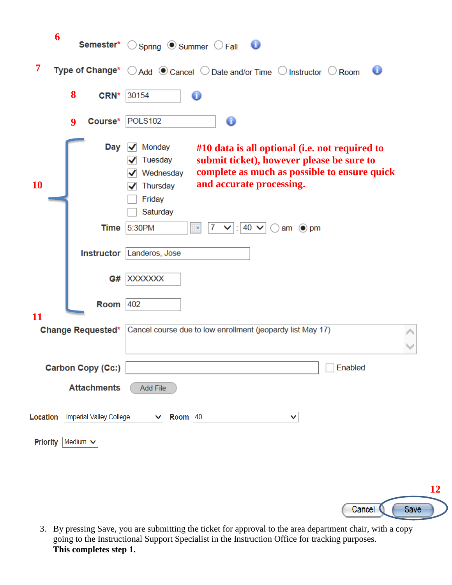|           | 6                              | <b>Semester*</b> $\bigcirc$ Spring $\bigcirc$ Summer $\bigcirc$ Fall $\bigcirc$                                                                                                                                                 |
|-----------|--------------------------------|---------------------------------------------------------------------------------------------------------------------------------------------------------------------------------------------------------------------------------|
| 7         |                                | Type of Change* ○ Add ● Cancel ○ Date and/or Time ○ Instructor ○ Room<br>ο                                                                                                                                                      |
|           | 8<br>CRN*                      | 30154                                                                                                                                                                                                                           |
|           | Course*<br>$\boldsymbol{9}$    | POLS102<br>0                                                                                                                                                                                                                    |
| <b>10</b> | Day                            | Monday<br>#10 data is all optional (i.e. not required to<br>submit ticket), however please be sure to<br>Tuesday<br>complete as much as possible to ensure quick<br>Wednesday<br>and accurate processing.<br>Thursday<br>Friday |
|           |                                | Saturday                                                                                                                                                                                                                        |
|           | <b>Time</b>                    | 5:30PM<br>$40 \vee$<br>7<br>$\odot$ pm<br>am                                                                                                                                                                                    |
|           |                                | <b>Instructor Landeros, Jose</b>                                                                                                                                                                                                |
|           |                                | G# XXXXXXX                                                                                                                                                                                                                      |
| 11        | Room                           | 402                                                                                                                                                                                                                             |
|           | <b>Change Requested*</b>       | Cancel course due to low enrollment (jeopardy list May 17)                                                                                                                                                                      |
|           | Carbon Copy (Cc:)              | Enabled                                                                                                                                                                                                                         |
|           | <b>Attachments</b>             | <b>Add File</b>                                                                                                                                                                                                                 |
| Location  | <b>Imperial Valley College</b> | Room $ 40$<br>v<br>▽                                                                                                                                                                                                            |
|           | Priority Medium V              |                                                                                                                                                                                                                                 |



3. By pressing Save, you are submitting the ticket for approval to the area department chair, with a copy going to the Instructional Support Specialist in the Instruction Office for tracking purposes. **This completes step 1.**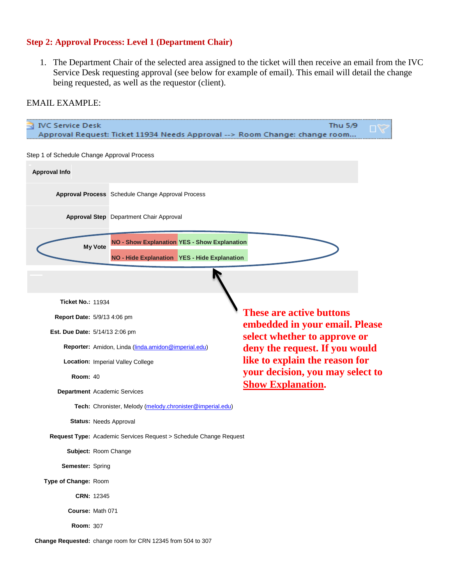# **Step 2: Approval Process: Level 1 (Department Chair)**

1. The Department Chair of the selected area assigned to the ticket will then receive an email from the IVC Service Desk requesting approval (see below for example of email). This email will detail the change being requested, as well as the requestor (client).

## EMAIL EXAMPLE:

| IVC Service Desk                                                      | Approval Request: Ticket 11934 Needs Approval --> Room Change: change room                                            | Thu 5/9                                                                                        |  |  |  |  |  |  |  |  |
|-----------------------------------------------------------------------|-----------------------------------------------------------------------------------------------------------------------|------------------------------------------------------------------------------------------------|--|--|--|--|--|--|--|--|
| Step 1 of Schedule Change Approval Process                            |                                                                                                                       |                                                                                                |  |  |  |  |  |  |  |  |
| <b>Approval Info</b>                                                  |                                                                                                                       |                                                                                                |  |  |  |  |  |  |  |  |
|                                                                       | Approval Process Schedule Change Approval Process                                                                     |                                                                                                |  |  |  |  |  |  |  |  |
|                                                                       | <b>Approval Step</b> Department Chair Approval                                                                        |                                                                                                |  |  |  |  |  |  |  |  |
|                                                                       | <b>NO - Show Explanation YES - Show Explanation</b><br><b>My Vote</b><br>NO - Hide Explanation YES - Hide Explanation |                                                                                                |  |  |  |  |  |  |  |  |
|                                                                       |                                                                                                                       |                                                                                                |  |  |  |  |  |  |  |  |
| <b>Ticket No.: 11934</b>                                              |                                                                                                                       |                                                                                                |  |  |  |  |  |  |  |  |
| <b>These are active buttons</b><br><b>Report Date: 5/9/13 4:06 pm</b> |                                                                                                                       |                                                                                                |  |  |  |  |  |  |  |  |
| Est. Due Date: 5/14/13 2:06 pm                                        |                                                                                                                       | embedded in your email. Please<br>select whether to approve or                                 |  |  |  |  |  |  |  |  |
|                                                                       | Reporter: Amidon, Linda (linda.amidon@imperial.edu)                                                                   | deny the request. If you would                                                                 |  |  |  |  |  |  |  |  |
|                                                                       | Location: Imperial Valley College                                                                                     | like to explain the reason for<br>your decision, you may select to<br><b>Show Explanation.</b> |  |  |  |  |  |  |  |  |
| <b>Room: 40</b>                                                       |                                                                                                                       |                                                                                                |  |  |  |  |  |  |  |  |
|                                                                       | Department Academic Services                                                                                          |                                                                                                |  |  |  |  |  |  |  |  |
|                                                                       | Tech: Chronister, Melody (melody.chronister@imperial.edu)                                                             |                                                                                                |  |  |  |  |  |  |  |  |
| <b>Status: Needs Approval</b>                                         |                                                                                                                       |                                                                                                |  |  |  |  |  |  |  |  |
|                                                                       | Request Type: Academic Services Request > Schedule Change Request                                                     |                                                                                                |  |  |  |  |  |  |  |  |
|                                                                       | Subject: Room Change                                                                                                  |                                                                                                |  |  |  |  |  |  |  |  |
|                                                                       | Semester: Spring                                                                                                      |                                                                                                |  |  |  |  |  |  |  |  |
|                                                                       | Type of Change: Room                                                                                                  |                                                                                                |  |  |  |  |  |  |  |  |
| CRN: 12345                                                            |                                                                                                                       |                                                                                                |  |  |  |  |  |  |  |  |
| Course: Math 071                                                      |                                                                                                                       |                                                                                                |  |  |  |  |  |  |  |  |
| <b>Room: 307</b>                                                      |                                                                                                                       |                                                                                                |  |  |  |  |  |  |  |  |
|                                                                       | Change Requested: change room for CRN 12345 from 504 to 307                                                           |                                                                                                |  |  |  |  |  |  |  |  |